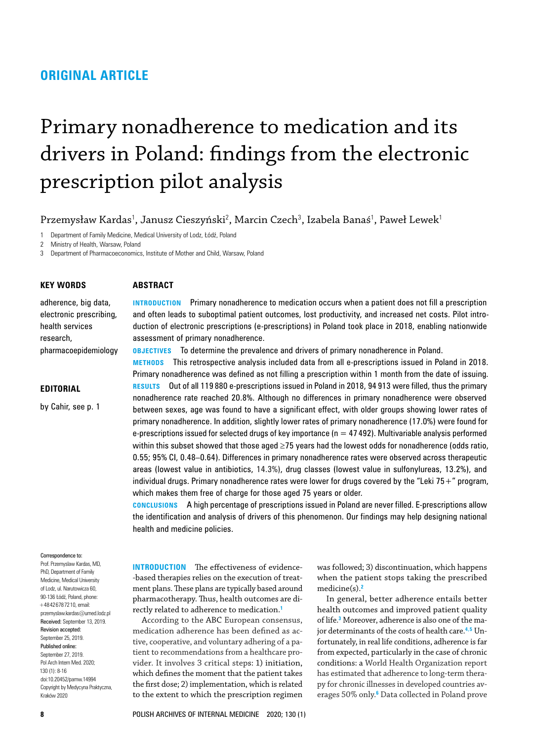# **ORIGINAL ARTICLE**

# Primary nonadherence to medication and its drivers in Poland: findings from the electronic prescription pilot analysis

**Introduction** Primary nonadherence to medication occurs when a patient does not fill a prescription and often leads to suboptimal patient outcomes, lost productivity, and increased net costs. Pilot introduction of electronic prescriptions (e‑prescriptions) in Poland took place in 2018, enabling nationwide

**Methods** This retrospective analysis included data from all e‑prescriptions issued in Poland in 2018. Primary nonadherence was defined as not filling a prescription within 1 month from the date of issuing. **Results** Out of all 119 880 e‑prescriptions issued in Poland in 2018, 94 913 were filled, thus the primary nonadherence rate reached 20.8%. Although no differences in primary nonadherence were observed between sexes, age was found to have a significant effect, with older groups showing lower rates of primary nonadherence. In addition, slightly lower rates of primary nonadherence (17.0%) were found for e-prescriptions issued for selected drugs of key importance ( $n = 47492$ ). Multivariable analysis performed within this subset showed that those aged ≥75 years had the lowest odds for nonadherence (odds ratio, 0.55; 95% CI, 0.48–0.64). Differences in primary nonadherence rates were observed across therapeutic areas (lowest value in antibiotics, 14.3%), drug classes (lowest value in sulfonylureas, 13.2%), and individual drugs. Primary nonadherence rates were lower for drugs covered by the "Leki  $75+$ " program,

**Conclusions** A high percentage of prescriptions issued in Poland are never filled. E‑prescriptions allow the identification and analysis of drivers of this phenomenon. Our findings may help designing national

**OBJECTIVES** To determine the prevalence and drivers of primary nonadherence in Poland.

Przemysław Kardas<sup>1</sup>, Janusz Cieszyński<sup>2</sup>, Marcin Czech<sup>3</sup>, Izabela Banaś<sup>1</sup>, Paweł Lewek<sup>1</sup>

1 Department of Family Medicine, Medical University of Lodz, Łódź, Poland

2 Ministry of Health, Warsaw, Poland

3 Department of Pharmacoeconomics, Institute of Mother and Child, Warsaw, Poland

## **Key words**

### **Abstract**

assessment of primary nonadherence.

# electronic prescribing, health services research, pharmacoepidemiology

adherence, big data,

## **Editorial**

by Cahir, see p. 1

#### Correspondence to:

Prof. Przemyslaw Kardas, MD, PhD, Department of Family Medicine, Medical University of Lodz, ul. Narutowicza 60, 90-136 Łódź, Poland, phone: +48426787210, email: przemyslaw.kardas@umed.lodz.pl Received: September 13, 2019. Revision accepted: September 25, 2019. Published online: September 27, 2019. Pol Arch Intern Med. 2020; 130 (1): 8-16 doi:10.20452/pamw.14994 Copyright by Medycyna Praktyczna, Kraków 2020

**INTRODUCTION** The effectiveness of evidence– -based therapies relies on the execution of treatment plans. These plans are typically based around pharmacotherapy. Thus, health outcomes are directly related to adherence to medication.**[1](#page-8-5)**

health and medicine policies.

which makes them free of charge for those aged 75 years or older.

<span id="page-0-0"></span>According to the ABC European consensus, medication adherence has been defined as ac‑ tive, cooperative, and voluntary adhering of a patient to recommendations from a healthcare provider. It involves 3 critical steps: 1) initiation, which defines the moment that the patient takes the first dose; 2) implementation, which is related to the extent to which the prescription regimen was followed; 3) discontinuation, which happens when the patient stops taking the prescribed medicine(s).**[2](#page-8-0)**

<span id="page-0-5"></span><span id="page-0-4"></span><span id="page-0-3"></span><span id="page-0-2"></span><span id="page-0-1"></span>In general, better adherence entails better health outcomes and improved patient quality of life.**[3](#page-8-1)** Moreover, adherence is also one of the ma‑ jor determinants of the costs of health care.**[4](#page-8-2),[5](#page-8-3)** Un‑ fortunately, in real life conditions, adherence is far from expected, particularly in the case of chronic conditions: a World Health Organization report has estimated that adherence to long-term therapy for chronic illnesses in developed countries averages 50% only.**[6](#page-8-4)** Data collected in Poland prove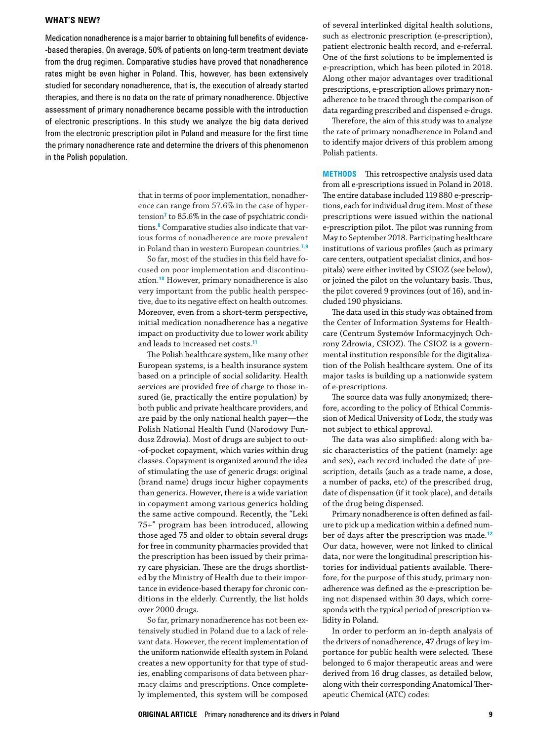## **What's new?**

Medication nonadherence is a major barrier to obtaining full benefits of evidence-‑based therapies. On average, 50% of patients on long‑term treatment deviate from the drug regimen. Comparative studies have proved that nonadherence rates might be even higher in Poland. This, however, has been extensively studied for secondary nonadherence, that is, the execution of already started therapies, and there is no data on the rate of primary nonadherence. Objective assessment of primary nonadherence became possible with the introduction of electronic prescriptions. In this study we analyze the big data derived from the electronic prescription pilot in Poland and measure for the first time the primary nonadherence rate and determine the drivers of this phenomenon in the Polish population.

> <span id="page-1-1"></span><span id="page-1-0"></span>that in terms of poor implementation, nonadherence can range from 57.6% in the case of hyper-tension<sup>[7](#page-8-7)</sup> to 85.6% in the case of psychiatric condi-tions.<sup>[8](#page-8-8)</sup> Comparative studies also indicate that various forms of nonadherence are more prevalent in Poland than in western European countries.**[7](#page-8-7),[9](#page-8-9)**

> <span id="page-1-3"></span>So far, most of the studies in this field have focused on poor implementation and discontinuation.**[10](#page-8-10)** However, primary nonadherence is also very important from the public health perspective, due to its negative effect on health outcomes. Moreover, even from a short-term perspective, initial medication nonadherence has a negative impact on productivity due to lower work ability and leads to increased net costs.**[11](#page-8-11)**

> <span id="page-1-4"></span>The Polish healthcare system, like many other European systems, is a health insurance system based on a principle of social solidarity. Health services are provided free of charge to those insured (ie, practically the entire population) by both public and private healthcare providers, and are paid by the only national health payer—the Polish National Health Fund (Narodowy Fundusz Zdrowia). Most of drugs are subject to out-‑of‑pocket copayment, which varies within drug classes. Copayment is organized around the idea of stimulating the use of generic drugs: original (brand name) drugs incur higher copayments than generics. However, there is a wide variation in copayment among various generics holding the same active compound. Recently, the "Leki 75+" program has been introduced, allowing those aged 75 and older to obtain several drugs for free in community pharmacies provided that the prescription has been issued by their primary care physician. These are the drugs shortlisted by the Ministry of Health due to their importance in evidence-based therapy for chronic conditions in the elderly. Currently, the list holds over 2000 drugs.

> So far, primary nonadherence has not been extensively studied in Poland due to a lack of rele‑ vant data. However, the recent implementation of the uniform nationwide eHealth system in Poland creates a new opportunity for that type of studies, enabling comparisons of data between pharmacy claims and prescriptions. Once completely implemented, this system will be composed

of several interlinked digital health solutions, such as electronic prescription (e-prescription), patient electronic health record, and e‑referral. One of the first solutions to be implemented is e‑prescription, which has been piloted in 2018. Along other major advantages over traditional prescriptions, e-prescription allows primary nonadherence to be traced through the comparison of data regarding prescribed and dispensed e‑drugs.

Therefore, the aim of this study was to analyze the rate of primary nonadherence in Poland and to identify major drivers of this problem among Polish patients.

**METHODS** This retrospective analysis used data from all e‑prescriptions issued in Poland in 2018. The entire database included 119 880 e-prescriptions, each for individual drug item. Most of these prescriptions were issued within the national e‑prescription pilot. The pilot was running from May to September 2018. Participating healthcare institutions of various profiles (such as primary care centers, outpatient specialist clinics, and hospitals) were either invited by CSIOZ (see below), or joined the pilot on the voluntary basis. Thus, the pilot covered 9 provinces (out of 16), and included 190 physicians.

<span id="page-1-2"></span>The data used in this study was obtained from the Center of Information Systems for Healthcare (Centrum Systemów Informacyjnych Ochrony Zdrowia, CSIOZ). The CSIOZ is a govern‑ mental institution responsible for the digitalization of the Polish healthcare system. One of its major tasks is building up a nationwide system of e‑prescriptions.

The source data was fully anonymized; therefore, according to the policy of Ethical Commission of Medical University of Lodz, the study was not subject to ethical approval.

The data was also simplified: along with ba‑ sic characteristics of the patient (namely: age and sex), each record included the date of prescription, details (such as a trade name, a dose, a number of packs, etc) of the prescribed drug, date of dispensation (if it took place), and details of the drug being dispensed.

<span id="page-1-5"></span>Primary nonadherence is often defined as fail‑ ure to pick up a medication within a defined number of days after the prescription was made.**[12](#page-8-6)** Our data, however, were not linked to clinical data, nor were the longitudinal prescription histories for individual patients available. Therefore, for the purpose of this study, primary nonadherence was defined as the e-prescription being not dispensed within 30 days, which corresponds with the typical period of prescription validity in Poland.

In order to perform an in‑depth analysis of the drivers of nonadherence, 47 drugs of key importance for public health were selected. These belonged to 6 major therapeutic areas and were derived from 16 drug classes, as detailed below, along with their corresponding Anatomical Therapeutic Chemical (ATC) codes: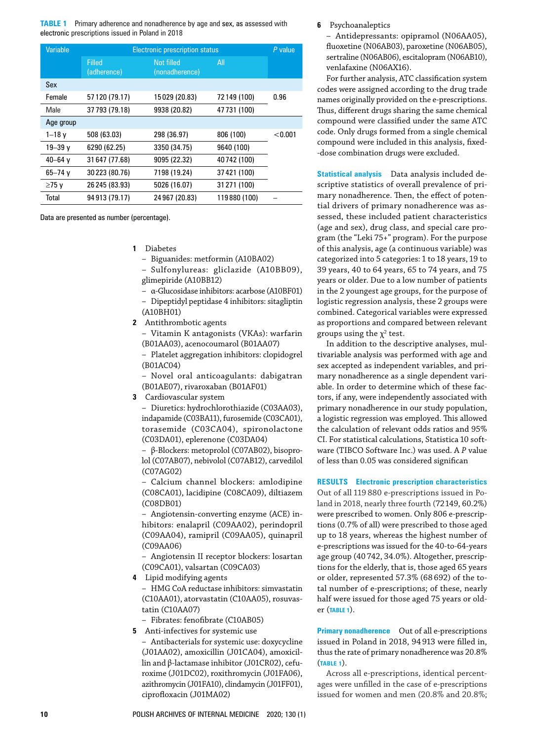<span id="page-2-0"></span>**TABLE 1** Primary adherence and nonadherence by age and sex, as assessed with electronic prescriptions issued in Poland in 2018

| Variable    | <b>Electronic prescription status</b> |                              |              | $P$ value |
|-------------|---------------------------------------|------------------------------|--------------|-----------|
|             | <b>Filled</b><br>(adherence)          | Not filled<br>(nonadherence) | All          |           |
| Sex         |                                       |                              |              |           |
| Female      | 57 120 (79.17)                        | 15029 (20.83)                | 72149 (100)  | 0.96      |
| Male        | 37 793 (79.18)                        | 9938 (20.82)                 | 47731 (100)  |           |
| Age group   |                                       |                              |              |           |
| $1 - 18$ v  | 508 (63.03)                           | 298 (36.97)                  | 806 (100)    | < 0.001   |
| $19 - 39$ v | 6290 (62.25)                          | 3350 (34.75)                 | 9640 (100)   |           |
| $40 - 64$ y | 31 647 (77.68)                        | 9095 (22.32)                 | 40742 (100)  |           |
| $65 - 74$ y | 30 223 (80.76)                        | 7198 (19.24)                 | 37 421 (100) |           |
| ≥75 v       | 26 245 (83.93)                        | 5026 (16.07)                 | 31 271 (100) |           |
| Total       | 94 913 (79.17)                        | 24 967 (20.83)               | 119880 (100) |           |

Data are presented as number (percentage).

**1** Diabetes

– Biguanides: metformin (A10BA02)

– Sulfonylureas: gliclazide (A10BB09), glimepiride (A10BB12)

– α‑Glucosidase inhibitors: acarbose (A10BF01)

– Dipeptidyl peptidase 4 inhibitors: sitagliptin (A10BH01)

- **2** Antithrombotic agents
	- Vitamin K antagonists (VKAs): warfarin (B01AA03), acenocoumarol (B01AA07)

– Platelet aggregation inhibitors: clopidogrel (B01AC04)

– Novel oral anticoagulants: dabigatran (B01AE07), rivaroxaban (B01AF01)

**3** Cardiovascular system

– Diuretics: hydrochlorothiazide (C03AA03), indapamide (C03BA11), furosemide (C03CA01), torasemide (C03CA04), spironolactone (C03DA01), eplerenone (C03DA04)

– β‑Blockers: metoprolol (C07AB02), bisopro‑ lol (C07AB07), nebivolol (C07AB12), carvedilol (C07AG02)

– Calcium channel blockers: amlodipine (C08CA01), lacidipine (C08CA09), diltiazem (C08DB01)

– Angiotensin‑converting enzyme (ACE) in‑ hibitors: enalapril (C09AA02), perindopril (C09AA04), ramipril (C09AA05), quinapril (C09AA06)

– Angiotensin II receptor blockers: losartan (C09CA01), valsartan (C09CA03)

**4** Lipid modifying agents

– HMG CoA reductase inhibitors: simvastatin (C10AA01), atorvastatin (C10AA05), rosuvas‑ tatin (C10AA07)

- Fibrates: fenofibrate (C10AB05)
- **5** Anti-infectives for systemic use

– Antibacterials for systemic use: doxycycline (J01AA02), amoxicillin (J01CA04), amoxicil‑ lin and β-lactamase inhibitor (J01CR02), cefuroxime (J01DC02), roxithromycin (J01FA06), azithromycin (J01FA10), clindamycin (J01FF01), ciprofloxacin (J01MA02)

**6** Psychoanaleptics

– Antidepressants: opipramol (N06AA05), fluoxetine (N06AB03), paroxetine (N06AB05), sertraline (N06AB06), escitalopram (N06AB10), venlafaxine (N06AX16).

For further analysis, ATC classification system codes were assigned according to the drug trade names originally provided on the e-prescriptions. Thus, different drugs sharing the same chemical compound were classified under the same ATC code. Only drugs formed from a single chemical compound were included in this analysis, fixed-‑dose combination drugs were excluded.

**Statistical analysis** Data analysis included de‑ scriptive statistics of overall prevalence of primary nonadherence. Then, the effect of potential drivers of primary nonadherence was assessed, these included patient characteristics (age and sex), drug class, and special care program (the "Leki 75+" program). For the purpose of this analysis, age (a continuous variable) was categorized into 5 categories: 1 to 18 years, 19 to 39 years, 40 to 64 years, 65 to 74 years, and 75 years or older. Due to a low number of patients in the 2 youngest age groups, for the purpose of logistic regression analysis, these 2 groups were combined. Categorical variables were expressed as proportions and compared between relevant groups using the  $\chi^2$  test.

In addition to the descriptive analyses, multivariable analysis was performed with age and sex accepted as independent variables, and primary nonadherence as a single dependent variable. In order to determine which of these factors, if any, were independently associated with primary nonadherence in our study population, a logistic regression was employed. This allowed the calculation of relevant odds ratios and 95% CI. For statistical calculations, Statistica 10 software (TIBCO Software Inc.) was used. A *P* value of less than 0.05 was considered significan

**Results Electronic prescription characteristics**

Out of all 119 880 e-prescriptions issued in Poland in 2018, nearly three fourth (72 149, 60.2%) were prescribed to women. Only 806 e-prescriptions (0.7% of all) were prescribed to those aged up to 18 years, whereas the highest number of e-prescriptions was issued for the 40-to-64-years age group (40 742, 34.0%). Altogether, prescriptions for the elderly, that is, those aged 65 years or older, represented 57.3% (68 692) of the total number of e‑prescriptions; of these, nearly half were issued for those aged 75 years or older (**[Table 1](#page-2-0)**).

**Primary nonadherence** Out of all e-prescriptions issued in Poland in 2018, 94913 were filled in, thus the rate of primary nonadherence was 20.8% (**[Table 1](#page-2-0)**).

Across all e-prescriptions, identical percentages were unfilled in the case of e-prescriptions issued for women and men (20.8% and 20.8%;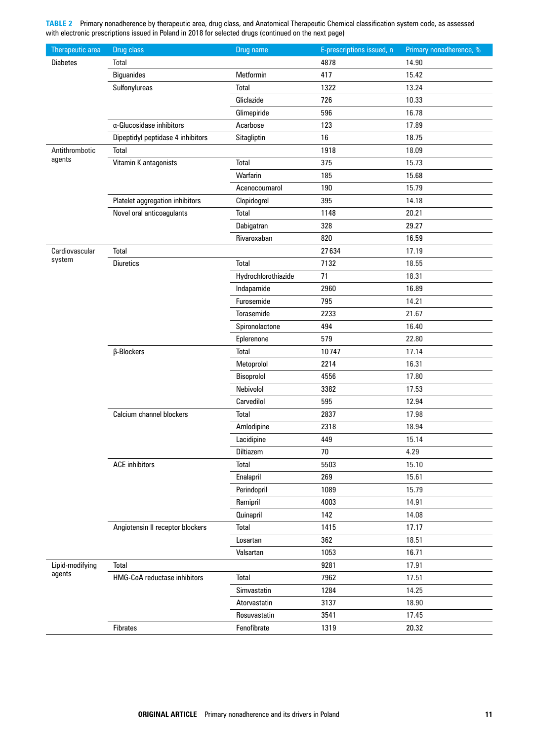<span id="page-3-0"></span>**TABLE 2** Primary nonadherence by therapeutic area, drug class, and Anatomical Therapeutic Chemical classification system code, as assessed with electronic prescriptions issued in Poland in 2018 for selected drugs (continued on the next page)

| <b>Therapeutic area</b>   | Drug class                        | Drug name           | E-prescriptions issued, n | Primary nonadherence, % |
|---------------------------|-----------------------------------|---------------------|---------------------------|-------------------------|
| <b>Diabetes</b>           | Total                             |                     | 4878                      | 14.90                   |
|                           | <b>Biguanides</b>                 | Metformin           | 417                       | 15.42                   |
|                           | Sulfonylureas                     | Total               | 1322                      | 13.24                   |
|                           |                                   | Gliclazide          | 726                       | 10.33                   |
|                           |                                   | Glimepiride         | 596                       | 16.78                   |
|                           | $\alpha$ -Glucosidase inhibitors  | Acarbose            | 123                       | 17.89                   |
|                           | Dipeptidyl peptidase 4 inhibitors | Sitagliptin         | 16                        | 18.75                   |
| Antithrombotic            | Total                             |                     | 1918                      | 18.09                   |
| agents                    | Vitamin K antagonists             | Total               | 375                       | 15.73                   |
|                           |                                   | Warfarin            | 185                       | 15.68                   |
|                           |                                   | Acenocoumarol       | 190                       | 15.79                   |
|                           | Platelet aggregation inhibitors   | Clopidogrel         | 395                       | 14.18                   |
|                           | Novel oral anticoagulants         | Total               | 1148                      | 20.21                   |
|                           |                                   | Dabigatran          | 328                       | 29.27                   |
|                           |                                   | Rivaroxaban         | 820                       | 16.59                   |
| Cardiovascular            | Total                             |                     | 27634                     | 17.19                   |
| system                    | <b>Diuretics</b>                  | <b>Total</b>        | 7132                      | 18.55                   |
|                           |                                   | Hydrochlorothiazide | 71                        | 18.31                   |
|                           |                                   | Indapamide          | 2960                      | 16.89                   |
|                           |                                   | Furosemide          | 795                       | 14.21                   |
|                           |                                   | Torasemide          | 2233                      | 21.67                   |
|                           |                                   | Spironolactone      | 494                       | 16.40                   |
|                           |                                   | Eplerenone          | 579                       | 22.80                   |
|                           | β-Blockers                        | <b>Total</b>        | 10747                     | 17.14                   |
|                           |                                   | Metoprolol          | 2214                      | 16.31                   |
|                           |                                   | Bisoprolol          | 4556                      | 17.80                   |
|                           |                                   | Nebivolol           | 3382                      | 17.53                   |
|                           |                                   | Carvedilol          | 595                       | 12.94                   |
|                           | Calcium channel blockers          | Total               | 2837                      | 17.98                   |
|                           |                                   | Amlodipine          | 2318                      | 18.94                   |
|                           |                                   | Lacidipine          | 449                       | 15.14                   |
|                           |                                   | Diltiazem           | 70                        | 4.29                    |
|                           | <b>ACE</b> inhibitors             | <b>Total</b>        | 5503                      | 15.10                   |
|                           |                                   | Enalapril           | 269                       | 15.61                   |
|                           |                                   | Perindopril         | 1089                      | 15.79                   |
|                           |                                   | Ramipril            | 4003                      | 14.91                   |
|                           |                                   | <b>Quinapril</b>    | 142                       | 14.08                   |
|                           | Angiotensin II receptor blockers  | Total               | 1415                      | 17.17                   |
|                           |                                   | Losartan            | 362                       | 18.51                   |
|                           |                                   | Valsartan           | 1053                      | 16.71                   |
| Lipid-modifying<br>agents | <b>Total</b>                      |                     | 9281                      | 17.91                   |
|                           | HMG-CoA reductase inhibitors      | Total               | 7962                      | 17.51                   |
|                           |                                   | Simvastatin         | 1284                      | 14.25                   |
|                           |                                   | Atorvastatin        | 3137                      | 18.90                   |
|                           |                                   | Rosuvastatin        | 3541                      | 17.45                   |
|                           | <b>Fibrates</b>                   | Fenofibrate         | 1319                      | 20.32                   |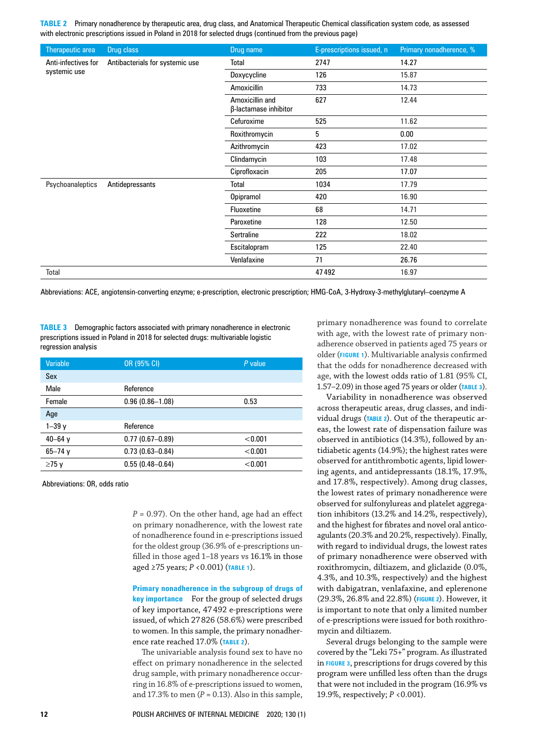**TABLE 2** Primary nonadherence by therapeutic area, drug class, and Anatomical Therapeutic Chemical classification system code, as assessed with electronic prescriptions issued in Poland in 2018 for selected drugs (continued from the previous page)

| <b>Therapeutic area</b>             | Drug class                      | Drug name                                | E-prescriptions issued, n | Primary nonadherence, % |
|-------------------------------------|---------------------------------|------------------------------------------|---------------------------|-------------------------|
| Anti-infectives for<br>systemic use | Antibacterials for systemic use | Total                                    | 2747                      | 14.27                   |
|                                     |                                 | Doxycycline                              | 126                       | 15.87                   |
|                                     |                                 | Amoxicillin                              | 733                       | 14.73                   |
|                                     |                                 | Amoxicillin and<br>β-lactamase inhibitor | 627                       | 12.44                   |
|                                     |                                 | Cefuroxime                               | 525                       | 11.62                   |
|                                     |                                 | Roxithromycin                            | 5                         | 0.00                    |
|                                     |                                 | Azithromycin                             | 423                       | 17.02                   |
|                                     |                                 | Clindamycin                              | 103                       | 17.48                   |
|                                     |                                 | Ciprofloxacin                            | 205                       | 17.07                   |
| Psychoanaleptics                    | Antidepressants                 | Total                                    | 1034                      | 17.79                   |
|                                     |                                 | Opipramol                                | 420                       | 16.90                   |
|                                     |                                 | Fluoxetine                               | 68                        | 14.71                   |
|                                     |                                 | Paroxetine                               | 128                       | 12.50                   |
|                                     |                                 | Sertraline                               | 222                       | 18.02                   |
|                                     |                                 | Escitalopram                             | 125                       | 22.40                   |
|                                     |                                 | Venlafaxine                              | 71                        | 26.76                   |
| Total                               |                                 |                                          | 47492                     | 16.97                   |

Abbreviations: ACE, angiotensin-converting enzyme; e-prescription, electronic prescription; HMG-CoA, 3-Hydroxy-3-methylglutaryl–coenzyme A

<span id="page-4-0"></span>**TABLE 3** Demographic factors associated with primary nonadherence in electronic prescriptions issued in Poland in 2018 for selected drugs: multivariable logistic regression analysis

| <b>Variable</b> | OR (95% CI)         | P value |
|-----------------|---------------------|---------|
| Sex             |                     |         |
| Male            | Reference           |         |
| Female          | $0.96(0.86 - 1.08)$ | 0.53    |
| Age             |                     |         |
| $1 - 39y$       | Reference           |         |
| $40 - 64$ y     | $0.77(0.67 - 0.89)$ | < 0.001 |
| $65 - 74y$      | $0.73(0.63 - 0.84)$ | < 0.001 |
| $\geq$ 75 v     | $0.55(0.48 - 0.64)$ | < 0.001 |

Abbreviations: OR, odds ratio

 $P = 0.97$ ). On the other hand, age had an effect on primary nonadherence, with the lowest rate of nonadherence found in e‑prescriptions issued for the oldest group (36.9% of e-prescriptions unfilled in those aged 1–18 years vs 16.1% in those aged ≥75 years; *P* <0.001) (**[Table 1](#page-2-0)**).

**Primary nonadherence in the subgroup of drugs of key importance** For the group of selected drugs of key importance, 47492 e‑prescriptions were issued, of which 27826 (58.6%) were prescribed to women. In this sample, the primary nonadherence rate reached 17.0% (**[Table 2](#page-3-0)**).

The univariable analysis found sex to have no effect on primary nonadherence in the selected drug sample, with primary nonadherence occurring in 16.8% of e‑prescriptions issued to women, and  $17.3\%$  to men ( $P = 0.13$ ). Also in this sample, primary nonadherence was found to correlate with age, with the lowest rate of primary nonadherence observed in patients aged 75 years or older (**[Figure 1](#page-5-0)**). Multivariable analysis confirmed that the odds for nonadherence decreased with age, with the lowest odds ratio of 1.81 (95% CI, 1.57–2.09) in those aged 75 years or older (**[Table 3](#page-4-0)**).

Variability in nonadherence was observed across therapeutic areas, drug classes, and individual drugs (TABLE 2). Out of the therapeutic areas, the lowest rate of dispensation failure was observed in antibiotics (14.3%), followed by antidiabetic agents (14.9%); the highest rates were observed for antithrombotic agents, lipid lowering agents, and antidepressants (18.1%, 17.9%, and 17.8%, respectively). Among drug classes, the lowest rates of primary nonadherence were observed for sulfonylureas and platelet aggregation inhibitors (13.2% and 14.2%, respectively), and the highest for fibrates and novel oral anticoagulants (20.3% and 20.2%, respectively). Finally, with regard to individual drugs, the lowest rates of primary nonadherence were observed with roxithromycin, diltiazem, and gliclazide (0.0%, 4.3%, and 10.3%, respectively) and the highest with dabigatran, venlafaxine, and eplerenone (29.3%, 26.8% and 22.8%) (**[Figure 2](#page-5-1)**). However, it is important to note that only a limited number of e-prescriptions were issued for both roxithromycin and diltiazem.

Several drugs belonging to the sample were covered by the "Leki 75+" program. As illustrated in **[Figure 3](#page-6-0)**, prescriptions for drugs covered by this program were unfilled less often than the drugs that were not included in the program (16.9% vs 19.9%, respectively; *P* <0.001).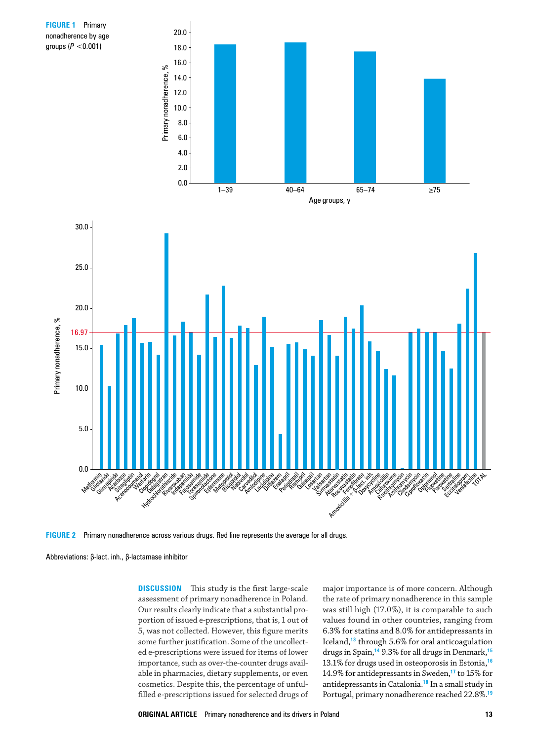<span id="page-5-0"></span>

<span id="page-5-1"></span>**Figure 2** Primary nonadherence across various drugs. Red line represents the average for all drugs.

Abbreviations: β-lact. inh., β‑lactamase inhibitor

**DISCUSSION** This study is the first large-scale assessment of primary nonadherence in Poland. Our results clearly indicate that a substantial proportion of issued e-prescriptions, that is, 1 out of 5, was not collected. However, this figure merits some further justification. Some of the uncollected e‑prescriptions were issued for items of lower importance, such as over-the-counter drugs available in pharmacies, dietary supplements, or even cosmetics. Despite this, the percentage of unfulfilled e‑prescriptions issued for selected drugs of

<span id="page-5-8"></span><span id="page-5-7"></span><span id="page-5-6"></span><span id="page-5-5"></span><span id="page-5-4"></span><span id="page-5-3"></span><span id="page-5-2"></span>major importance is of more concern. Although the rate of primary nonadherence in this sample was still high (17.0%), it is comparable to such values found in other countries, ranging from 6.3% for statins and 8.0% for antidepressants in Iceland,**[13](#page-8-12)** through 5.6% for oral anticoagulation drugs in Spain,**[14](#page-8-13)** 9.3% for all drugs in Denmark,**[15](#page-8-14)** 13.1% for drugs used in osteoporosis in Estonia,**[16](#page-8-15)** 14.9% for antidepressants in Sweden,**[17](#page-8-16)** to 15% for antidepressants in Catalonia.**[18](#page-8-17)** In a small study in Portugal, primary nonadherence reached 22.8%.**[19](#page-8-18)**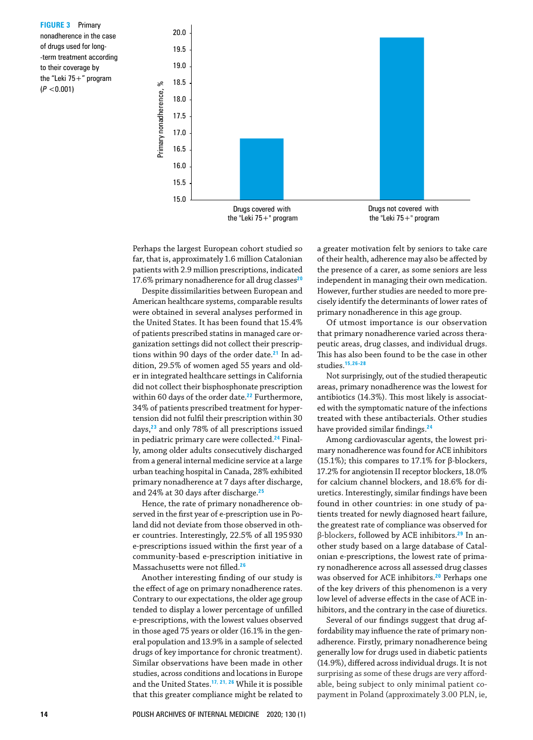<span id="page-6-0"></span>**FIGURE 3** Primary nonadherence in the case of drugs used for long-‑term treatment according to their coverage by the "Leki  $75+$ " program (*P* <0.001)



the "Leki  $75+$ " program

the "Leki 75+" program

Perhaps the largest European cohort studied so far, that is, approximately 1.6 million Catalonian patients with 2.9 million prescriptions, indicated 17.6% primary nonadherence for all drug classes**[20](#page-8-23)**

<span id="page-6-5"></span><span id="page-6-4"></span><span id="page-6-3"></span>Despite dissimilarities between European and American healthcare systems, comparable results were obtained in several analyses performed in the United States. It has been found that 15.4% of patients prescribed statins in managed care organization settings did not collect their prescriptions within 90 days of the order date.**[21](#page-8-24)** In ad‑ dition, 29.5% of women aged 55 years and older in integrated healthcare settings in California did not collect their bisphosphonate prescription within 60 days of the order date.**[22](#page-8-25)** Furthermore, 34% of patients prescribed treatment for hypertension did not fulfil their prescription within 30 days,**[23](#page-8-26)** and only 78% of all prescriptions issued in pediatric primary care were collected.**[24](#page-8-21)** Final‑ ly, among older adults consecutively discharged from a general internal medicine service at a large urban teaching hospital in Canada, 28% exhibited primary nonadherence at 7 days after discharge, and 24% at 30 days after discharge.**[25](#page-8-27)**

<span id="page-6-8"></span><span id="page-6-7"></span><span id="page-6-6"></span>Hence, the rate of primary nonadherence observed in the first year of e-prescription use in Poland did not deviate from those observed in other countries. Interestingly, 22.5% of all 195930 e‑prescriptions issued within the first year of a community‑based e‑prescription initiative in Massachusetts were not filled.**[26](#page-8-19)**

<span id="page-6-9"></span>Another interesting finding of our study is the effect of age on primary nonadherence rates. Contrary to our expectations, the older age group tended to display a lower percentage of unfilled e‑prescriptions, with the lowest values observed in those aged 75 years or older (16.1% in the general population and 13.9% in a sample of selected drugs of key importance for chronic treatment). Similar observations have been made in other studies, across conditions and locations in Europe and the United States.**[17](#page-8-16), [21,](#page-8-24) [26](#page-8-19)** While it is possible that this greater compliance might be related to a greater motivation felt by seniors to take care of their health, adherence may also be affected by the presence of a carer, as some seniors are less independent in managing their own medication. However, further studies are needed to more precisely identify the determinants of lower rates of primary nonadherence in this age group.

Of utmost importance is our observation that primary nonadherence varied across therapeutic areas, drug classes, and individual drugs. This has also been found to be the case in other studies.**[15](#page-8-14),[26-](#page-8-19)[28](#page-8-20)**

<span id="page-6-1"></span>Not surprisingly, out of the studied therapeutic areas, primary nonadherence was the lowest for antibiotics (14.3%). This most likely is associated with the symptomatic nature of the infections treated with these antibacterials. Other studies have provided similar findings.**[24](#page-8-21)**

Among cardiovascular agents, the lowest primary nonadherence was found for ACE inhibitors (15.1%); this compares to 17.1% for β-blockers, 17.2% for angiotensin II receptor blockers, 18.0% for calcium channel blockers, and 18.6% for diuretics. Interestingly, similar findings have been found in other countries: in one study of patients treated for newly diagnosed heart failure, the greatest rate of compliance was observed for β‑blockers, followed by ACE inhibitors.**[29](#page-8-22)** In an‑ other study based on a large database of Catalonian e-prescriptions, the lowest rate of primary nonadherence across all assessed drug classes was observed for ACE inhibitors.**[20](#page-8-23)** Perhaps one of the key drivers of this phenomenon is a very low level of adverse effects in the case of ACE inhibitors, and the contrary in the case of diuretics.

<span id="page-6-2"></span>Several of our findings suggest that drug affordability may influence the rate of primary nonadherence. Firstly, primary nonadherence being generally low for drugs used in diabetic patients (14.9%), differed across individual drugs. It is not surprising as some of these drugs are very affordable, being subject to only minimal patient copayment in Poland (approximately 3.00 PLN, ie,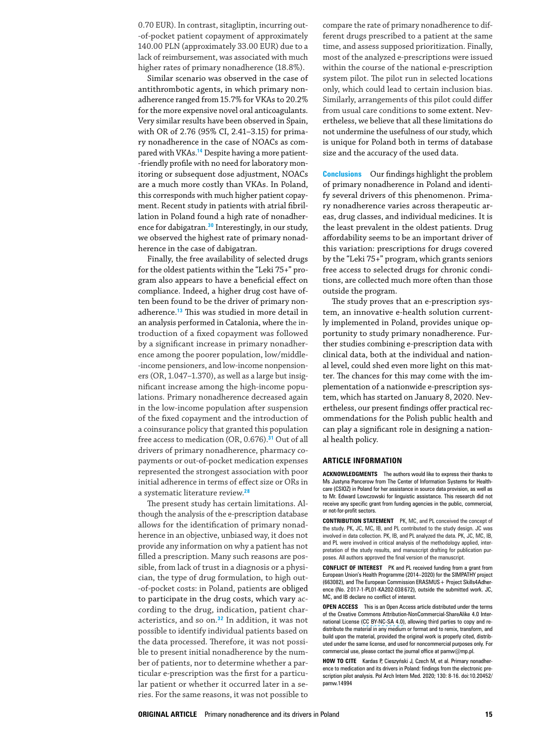0.70 EUR). In contrast, sitagliptin, incurring out-‑of‑pocket patient copayment of approximately 140.00 PLN (approximately 33.00 EUR) due to a lack of reimbursement, was associated with much higher rates of primary nonadherence (18.8%).

Similar scenario was observed in the case of antithrombotic agents, in which primary nonadherence ranged from 15.7% for VKAs to 20.2% for the more expensive novel oral anticoagulants. Very similar results have been observed in Spain, with OR of 2.76 (95% CI, 2.41-3.15) for primary nonadherence in the case of NOACs as com‑ pared with VKAs.<sup>[14](#page-8-13)</sup> Despite having a more patient-‑friendly profile with no need for laboratory mon‑ itoring or subsequent dose adjustment, NOACs are a much more costly than VKAs. In Poland, this corresponds with much higher patient copayment. Recent study in patients with atrial fibrillation in Poland found a high rate of nonadherence for dabigatran.**[30](#page-8-28)** Interestingly, in our study, we observed the highest rate of primary nonadherence in the case of dabigatran.

<span id="page-7-0"></span>Finally, the free availability of selected drugs for the oldest patients within the "Leki 75+" program also appears to have a beneficial effect on compliance. Indeed, a higher drug cost have often been found to be the driver of primary nonadherence.**[13](#page-8-12)** This was studied in more detail in an analysis performed in Catalonia, where the introduction of a fixed copayment was followed by a significant increase in primary nonadherence among the poorer population, low/middle-‑income pensioners, and low‑income nonpension‑ ers (OR, 1.047-1.370), as well as a large but insignificant increase among the high-income populations. Primary nonadherence decreased again in the low‑income population after suspension of the fixed copayment and the introduction of a coinsurance policy that granted this population free access to medication (OR, 0.676).**[31](#page-8-29)** Out of all drivers of primary nonadherence, pharmacy copayments or out‑of‑pocket medication expenses represented the strongest association with poor initial adherence in terms of effect size or ORs in a systematic literature review.**[28](#page-8-20)**

<span id="page-7-2"></span><span id="page-7-1"></span>The present study has certain limitations. Although the analysis of the e‑prescription database allows for the identification of primary nonadherence in an objective, unbiased way, it does not provide any information on why a patient has not filled a prescription. Many such reasons are possible, from lack of trust in a diagnosis or a physician, the type of drug formulation, to high out-‑of‑pocket costs: in Poland, patients are obliged to participate in the drug costs, which vary according to the drug, indication, patient characteristics, and so on.**[32](#page-8-30)** In addition, it was not possible to identify individual patients based on the data processed. Therefore, it was not possible to present initial nonadherence by the number of patients, nor to determine whether a particular e-prescription was the first for a particular patient or whether it occurred later in a series. For the same reasons, it was not possible to

compare the rate of primary nonadherence to different drugs prescribed to a patient at the same time, and assess supposed prioritization. Finally, most of the analyzed e‑prescriptions were issued within the course of the national e-prescription system pilot. The pilot run in selected locations only, which could lead to certain inclusion bias. Similarly, arrangements of this pilot could differ from usual care conditions to some extent. Nevertheless, we believe that all these limitations do not undermine the usefulness of our study, which is unique for Poland both in terms of database size and the accuracy of the used data.

**Conclusions** Our findings highlight the problem of primary nonadherence in Poland and identi‑ fy several drivers of this phenomenon. Primary nonadherence varies across therapeutic areas, drug classes, and individual medicines. It is the least prevalent in the oldest patients. Drug affordability seems to be an important driver of this variation: prescriptions for drugs covered by the "Leki 75+" program, which grants seniors free access to selected drugs for chronic conditions, are collected much more often than those outside the program.

The study proves that an e-prescription system, an innovative e-health solution currently implemented in Poland, provides unique opportunity to study primary nonadherence. Further studies combining e‑prescription data with clinical data, both at the individual and national level, could shed even more light on this matter. The chances for this may come with the im‑ plementation of a nationwide e-prescription system, which has started on January 8, 2020. Nevertheless, our present findings offer practical recommendations for the Polish public health and can play a significant role in designing a national health policy.

#### **Article information**

**Acknowledgments** The authors would like to express their thanks to Ms Justyna Pancerow from The Center of Information Systems for Healthcare (CSIOZ) in Poland for her assistance in source data provision, as well as to Mr. Edward Lowczowski for linguistic assistance. This research did not receive any specific grant from funding agencies in the public, commercial, or not-for-profit sectors.

**Contribution statement** PK, MC, and PL conceived the concept of the study. PK, JC, MC, IB, and PL contributed to the study design. JC was involved in data collection. PK, IB, and PL analyzed the data. PK, JC, MC, IB, and PL were involved in critical analysis of the methodology applied, interpretation of the study results, and manuscript drafting for publication purposes. All authors approved the final version of the manuscript.

**CONFLICT OF INTEREST** PK and PL received funding from a grant from European Union's Health Programme (2014–2020) for the SIMPATHY project (663082), and The European Commission ERASMUS + Project Skills4Adher ence (No. 2017-1-PL01-KA202-038 672), outside the submitted work. JC, MC, and IB declare no conflict of interest.

**Open access** This is an Open Access article distributed under the terms of the Creative Commons Attribution-NonCommercial-ShareAlike 4.0 International License (CC BY-NC-SA 4.0), allowing third parties to copy and redistribute the material in any medium or format and to remix, transform, and build upon the material, provided the original work is properly cited, distributed under the same license, and used for noncommercial purposes only. For commercial use, please contact the journal office at pamw@mp.pl.

HOW TO CITE Kardas P, Cieszyński J, Czech M, et al. Primary nonadherence to medication and its drivers in Poland: findings from the electronic prescription pilot analysis. Pol Arch Intern Med. 2020; 130: 8-16. doi:10.20452/ pamw.14994